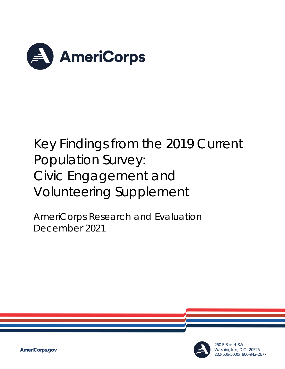

# Key Findings from the 2019 Current Population Survey: Civic Engagement and Volunteering Supplement

AmeriCorps Research and Evaluation December 2021



250 E Street SW Washington, D.C. 20525 202-606-5000/ 800-942-2677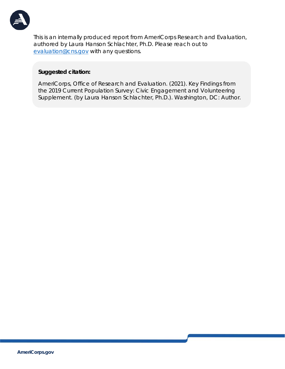

This is an internally produced report from AmeriCorps Research and Evaluation, authored by Laura Hanson Schlachter, Ph.D. Please reach out to [evaluation@cns.gov](mailto:evaluation@cns.gov) with any questions.

#### **Suggested citation:**

AmeriCorps, Office of Research and Evaluation. (2021). *Key Findings from the 2019 Current Population Survey: Civic Engagement and Volunteering Supplement*. (by Laura Hanson Schlachter, Ph.D.). Washington, DC: Author.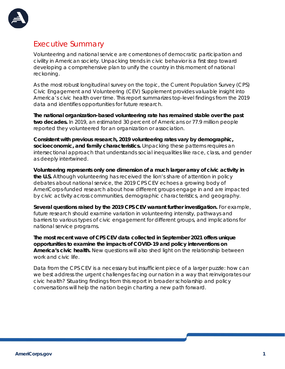

#### Executive Summary

Volunteering and national service are cornerstones of democratic participation and civility in American society. Unpacking trends in civic behavior is a first step toward developing a comprehensive plan to unify the country in this moment of national reckoning.

As the most robust longitudinal survey on the topic, the Current Population Survey (CPS) Civic Engagement and Volunteering (CEV) Supplement provides valuable insight into America's civic health over time. This report summarizes top-level findings from the 2019 data and identifies opportunities for future research.

**The national organization-based volunteering rate has remained stable over the past two decades.** In 2019, an estimated 30 percent of Americans or 77.9 million people reported they volunteered for an organization or association.

**Consistent with previous research, 2019 volunteering rates vary by demographic, socioeconomic, and family characteristics.** Unpacking these patterns requires an intersectional approach that understands social inequalities like race, class, and gender as deeply intertwined.

**Volunteering represents only one dimension of a much larger array of civic activity in the U.S.** Although volunteering has received the lion's share of attention in policy debates about national service, the 2019 CPS CEV echoes a growing body of AmeriCorps-funded research about how different groups engage in and are impacted by civic activity across communities, demographic characteristics, and geography.

**Several questions raised by the 2019 CPS CEV warrant further investigation.** For example, future research should examine variation in volunteering intensity, pathways and barriers to various types of civic engagement for different groups, and implications for national service programs.

**The most recent wave of CPS CEV data collected in September 2021 offers unique opportunities to examine the impacts of COVID-19 and policy interventions on America's civic health.** New questions will also shed light on the relationship between work and civic life.

Data from the CPS CEV is a necessary but insufficient piece of a larger puzzle: how can we best address the urgent challenges facing our nation in a way that reinvigorates our civic health? Situating findings from this report in broader scholarship and policy conversations will help the nation begin charting a new path forward.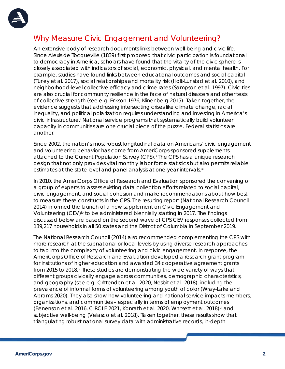

#### Why Measure Civic Engagement and Volunteering?

An extensive body of research documents links between well-being and civic life. Since Alexis de Tocqueville (1839) first proposed that civic participation is foundational to democracy in America, scholars have found that the vitality of the civic sphere is closely associated with indicators of social, economic, physical, and mental health. For example, studies have found links between educational outcomes and social capital (Turley et al. 2017), social relationships and mortality risk (Holt-Lunstad et al. 2010), and neighborhood-level collective efficacy and crime rates (Sampson et al. 1997). Civic ties are also crucial for community resilience in the face of natural disasters and other tests of collective strength (see e.g. Erikson 1976, Klinenberg 2015). Taken together, the evidence suggests that addressing intersecting crises like climate change, racial inequality, and political polarization requires understanding and investing in America's civic infrastructure.[i](#page-10-0) National service programs that systematically build volunteer capacity in communities are one crucial piece of the puzzle. Federal statistics are another.

Since 2002, the nation's most robust longitudinal data on Americans' civic engagement and volunteering behavior has come from AmeriCorps-sponsored supplements attached to the Current Population Survey (CPS).<sup>[ii](#page-10-1)</sup> The CPS has a unique research design that not only provides vital monthly labor force statistics but also permits reliable estimates at the state level and panel analysis at one-year intervals.<sup>[iii](#page-10-2)</sup>

In 2010, the AmeriCorps Office of Research and Evaluation sponsored the convening of a group of experts to assess existing data collection efforts related to social capital, civic engagement, and social cohesion and make recommendations about how best to measure these constructs in the CPS. The resulting report (National Research Council 2014) informed the launch of a new supplement on Civic Engagement and Volunteering (CEV)<sup>[iv](#page-10-3)</sup> to be administered biennially starting in 2017. The findings discussed below are based on the second wave of CPS CEV responses collected from 139,217 households in all 50 states and the District of Columbia in September 2019.

The National Research Council (2014) also recommended complementing the CPS with more research at the subnational or local levels by using diverse research approaches to tap into the complexity of volunteering and civic engagement. In response, the AmeriCorps Office of Research and Evaluation developed a research grant program for institutions of higher education and awarded 34 cooperative agreement grants from 2015 to 2018.[v](#page-10-4) These studies are demonstrating the wide variety of ways that different groups civically engage across communities, demographic characteristics, and geography (see e.g. Crittenden et al. 2020, Nesbit et al. 2018), including the prevalence of informal forms of volunteering among youth of color (Wray-Lake and Abrams 2020). They also show how volunteering and national service impacts members, organizations, and communities – especially in terms of employment outcomes (Benenson et al. 2016, CIRCLE 2021, Konrath et al. 2020, Whitsett et al. 2018)<sup>[vi](#page-10-5)</sup> and subjective well-being (Velasco et al. 2018). Taken together, these results show that triangulating robust national survey data with administrative records, in-depth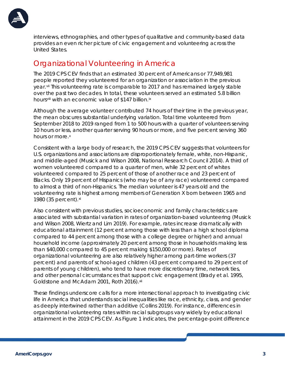

interviews, ethnographies, and other types of qualitative and community-based data provides an even richer picture of civic engagement and volunteering across the United States.

#### Organizational Volunteering in America

The 2019 CPS CEV finds that an estimated 30 percent of Americans or 77,949,981 people reported they volunteered for an organization or association in the previous year.[vii](#page-10-6) This volunteering rate is comparable to 2017 and has remained largely stable over the past two decades. In total, these volunteers served an estimated 5.8 billion hours[viii](#page-10-7) with an economic value of \$147 billion.[ix](#page-10-8)

Although the average volunteer contributed 74 hours of their time in the previous year, the mean obscures substantial underlying variation. Total time volunteered from September 2018 to 2019 ranged from 1 to 500 hours with a quarter of volunteers serving 10 hours or less, another quarter serving 90 hours or more, and five percent serving 360 hours or more.<sup>[x](#page-10-9)</sup>

Consistent with a large body of research, the 2019 CPS CEV suggests that volunteers for U.S. organizations and associations are disproportionately female, white, non-Hispanic, and middle-aged (Musick and Wilson 2008, National Research Council 2014). A third of women volunteered compared to a quarter of men, while 32 percent of whites volunteered compared to 25 percent of those of another race and 23 percent of Blacks. Only 19 percent of Hispanics (who may be of any race) volunteered compared to almost a third of non-Hispanics. The median volunteer is 47 years old and the volunteering rate is highest among members of Generation X born between 1965 and 1980 (35 percent). [xi](#page-10-10)

Also consistent with previous studies, socioeconomic and family characteristics are associated with substantial variation in rates of organization-based volunteering (Musick and Wilson 2008, Wiertz and Lim 2019). For example, rates increase dramatically with educational attainment (12 percent among those with less than a high school diploma compared to 44 percent among those with a college degree or higher) and annual household income (approximately 20 percent among those in households making less than \$40,000 compared to 45 percent making \$150,000 or more). Rates of organizational volunteering are also relatively higher among part-time workers (37 percent) and parents of school-aged children (43 percent compared to 29 percent of parents of young children), who tend to have more discretionary time, network ties, and other personal circumstances that support civic engagement (Brady et al. 1995, Goldstone and McAdam 2001, Roth 2016). [xii](#page-10-11)

These findings underscore calls for a more intersectional approach to investigating civic life in America that understands social inequalities like race, ethnicity, class, and gender as deeply intertwined rather than additive (Collins 2019). For instance, differences in organizational volunteering rates within racial subgroups vary widely by educational attainment in the 2019 CPS CEV. As Figure 1 indicates, the percentage-point difference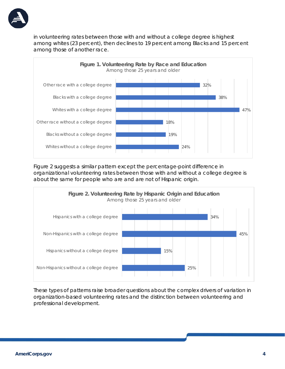

in volunteering rates between those with and without a college degree is highest among whites (23 percent), then declines to 19 percent among Blacks and 15 percent among those of another race.



Figure 2 suggests a similar pattern except the percentage-point difference in organizational volunteering rates between those with and without a college degree is about the same for people who are and are not of Hispanic origin.



These types of patterns raise broader questions about the complex drivers of variation in organization-based volunteering rates and the distinction between volunteering and professional development.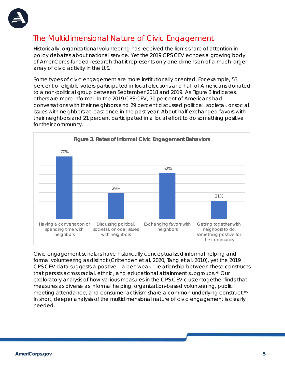

## The Multidimensional Nature of Civic Engagement

Historically, organizational volunteering has received the lion's share of attention in policy debates about national service. Yet the 2019 CPS CEV echoes a growing body of AmeriCorps-funded research that it represents only one dimension of a much larger array of civic activity in the U.S.

Some types of civic engagement are more institutionally oriented. For example, 53 percent of eligible voters participated in local elections and half of Americans donated to a non-political group between September 2018 and 2019. As Figure 3 indicates, others are more informal. In the 2019 CPS CEV, 70 percent of Americans had conversations with their neighbors and 29 percent discussed political, societal, or social issues with neighbors at least once in the past year. About half exchanged favors with their neighbors and 21 percent participated in a local effort to do something positive for their community.



Civic engagement scholars have historically conceptualized informal helping and formal volunteering as distinct (Crittenden et al. 2020, Tang et al. 2010), yet the 2019 CPS CEV data suggests a positive – albeit weak – relationship between these constructs that persists across racial, ethnic, and educational attainment subgroups. xili Our exploratory analysis of how various measures in the CPS CEV cluster together finds that measures as diverse as informal helping, organization-based volunteering, public meeting attendance, and consumer activism share a common underlying construct.<sup>[xiv](#page-11-0)</sup> In short, deeper analysis of the multidimensional nature of civic engagement is clearly needed.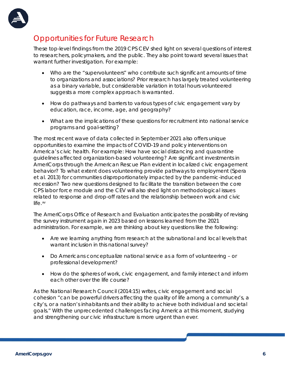

## Opportunities for Future Research

These top-level findings from the 2019 CPS CEV shed light on several questions of interest to researchers, policymakers, and the public. They also point toward several issues that warrant further investigation. For example:

- Who are the "supervolunteers" who contribute such significant amounts of time to organizations and associations? Prior research has largely treated volunteering as a binary variable, but considerable variation in total hours volunteered suggests a more complex approach is warranted.
- How do pathways and barriers to various types of civic engagement vary by education, race, income, age, and geography?
- What are the implications of these questions for recruitment into national service programs and goal-setting?

The most recent wave of data collected in September 2021 also offers unique opportunities to examine the impacts of COVID-19 and policy interventions on America's civic health. For example: How have social distancing and quarantine guidelines affected organization-based volunteering? Are significant investments in AmeriCorps through the American Rescue Plan evident in localized civic engagement behavior? To what extent does volunteering provide pathways to employment (Spera et al. 2013) for communities disproportionately impacted by the pandemic-induced recession? Two new questions designed to facilitate the transition between the core CPS labor force module and the CEV will also shed light on methodological issues related to response and drop-off rates and the relationship between work and civic life.[xv](#page-11-1) 

The AmeriCorps Office of Research and Evaluation anticipates the possibility of revising the survey instrument again in 2023 based on lessons learned from the 2021 administration. For example, we are thinking about key questions like the following:

- Are we learning anything from research at the subnational and local levels that warrant inclusion in this national survey?
- Do Americans conceptualize national service as a form of volunteering or professional development?
- How do the spheres of work, civic engagement, and family intersect and inform each other over the life course?

As the National Research Council (2014:15) writes, civic engagement and social cohesion "can be powerful drivers affecting the quality of life among a community's, a city's, or a nation's inhabitants and their ability to achieve both individual and societal goals." With the unprecedented challenges facing America at this moment, studying and strengthening our civic infrastructure is more urgent than ever.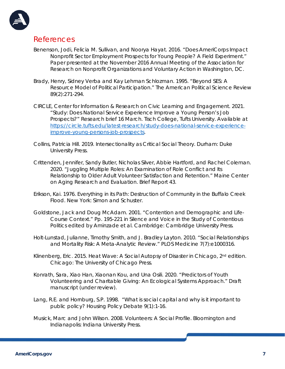

#### References

- Benenson, Jodi, Felicia M. Sullivan, and Noorya Hayat. 2016. "Does AmeriCorps Impact Nonprofit Sector Employment Prospects for Young People? A Field Experiment." Paper presented at the November 2016 Annual Meeting of the Association for Research on Nonprofit Organizations and Voluntary Action in Washington, DC.
- Brady, Henry, Sidney Verba and Kay Lehman Schlozman. 1995. "Beyond SES: A Resource Model of Political Participation." *The American Political Science Review* 89(2):271-294.
- CIRCLE, Center for Information & Research on Civic Learning and Engagement. 2021. "Study: Does National Service Experience Improve a Young Person's Job Prospects?" Research brief 16 March. Tisch College, Tufts University. Available at [https://circle.tufts.edu/latest-research/study-does-national-service-experience](https://circle.tufts.edu/latest-research/study-does-national-service-experience-improve-young-persons-job-prospects)[improve-young-persons-job-prospects.](https://circle.tufts.edu/latest-research/study-does-national-service-experience-improve-young-persons-job-prospects)
- Collins, Patricia Hill. 2019. *Intersectionality as Critical Social Theory*. Durham: Duke University Press.
- Crittenden, Jennifer, Sandy Butler, Nicholas Silver, Abbie Hartford, and Rachel Coleman. 2020. "Juggling Multiple Roles: An Examination of Role Conflict and Its Relationship to Older Adult Volunteer Satisfaction and Retention." *Maine Center on Aging Research and Evaluation.* Brief Report 43.
- Erikson, Kai. 1976. *Everything in its Path: Destruction of Community in the Buffalo Creek Flood.* New York: Simon and Schuster.
- Goldstone, Jack and Doug McAdam. 2001. "Contention and Demographic and Life-Course Context." Pp. 195-221 in *Silence and Voice in the Study of Contentious Politics* edited by Aminzade et al. Cambridge: Cambridge University Press.
- Holt-Lunstad, Julianne, Timothy Smith, and J. Bradley Layton. 2010. "Social Relationships and Mortality Risk: A Meta-Analytic Review." *PLOS Medicine* 7(7):e1000316.
- Klinenberg, Eric. 2015. *Heat Wave: A Social Autopsy of Disaster in Chicago*, 2nd edition. Chicago: The University of Chicago Press.
- Konrath, Sara, Xiao Han, Xiaonan Kou, and Una Osili. 2020. "Predictors of Youth Volunteering and Charitable Giving: An Ecological Systems Approach." Draft manuscript (under review).
- Lang, R.E. and Hornburg, S.P. 1998. "What is social capital and why is it important to public policy? *Housing Policy Debate 9(1):1-16.*
- Musick, Marc and John Wilson. 2008. *Volunteers: A Social Profile*. Bloomington and Indianapolis: Indiana University Press.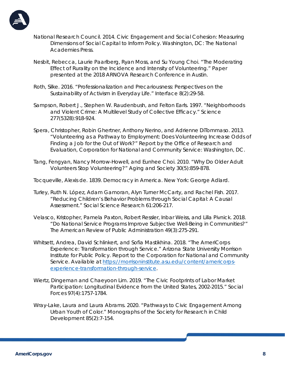

- National Research Council. 2014. *Civic Engagement and Social Cohesion: Measuring Dimensions of Social Capital to Inform Policy*. Washington, DC: The National Academies Press.
- Nesbit, Rebecca, Laurie Paarlberg, Ryan Moss, and Su Young Choi. "The Moderating Effect of Rurality on the Incidence and Intensity of Volunteering." Paper presented at the 2018 ARNOVA Research Conference in Austin.
- Roth, Silke. 2016. "Professionalization and Precariousness: Perspectives on the Sustainability of Activism in Everyday Life." *Interface* 8(2):29-58.
- Sampson, Robert J., Stephen W. Raudenbush, and Felton Earls. 1997. "Neighborhoods and Violent Crime: A Multilevel Study of Collective Efficacy." *Science* 277(5328):918-924.
- Spera, Christopher, Robin Ghertner, Anthony Nerino, and Adrienne DiTommaso. 2013. "Volunteering as a Pathway to Employment: Does Volunteering Increase Odds of Finding a Job for the Out of Work?" Report by the Office of Research and Evaluation, Corporation for National and Community Service: Washington, DC.
- Tang, Fengyan, Nancy Morrow-Howell, and Eunhee Choi. 2010. "Why Do Older Adult Volunteers Stop Volunteering?" *Aging and Society* 30(5):859-878.

Tocqueville, Alexis de. 1839. *Democracy in America*. New York: George Adlard.

- Turley, Ruth N. López, Adam Gamoran, Alyn Turner McCarty, and Rachel Fish. 2017. "Reducing Children's Behavior Problems through Social Capital: A Causal Assessment." *Social Science Research* 61:206-217.
- Velasco, Kristopher, Pamela Paxton, Robert Ressler, Inbar Weiss, and Lilla Pivnick. 2018. "Do National Service Programs Improve Subjective Well-Being in Communities?" *The American Review of Public Administration* 49(3):275-291.
- Whitsett, Andrea, David Schlinkert, and Sofia Mastikhina. 2018. "The AmeriCorps Experience: Transformation through Service." Arizona State University Morrison Institute for Public Policy. Report to the Corporation for National and Community Service. Available at [https://morrisoninstitute.asu.edu/content/americorps](https://morrisoninstitute.asu.edu/content/americorps-experience-transformation-through-service)[experience-transformation-through-service.](https://morrisoninstitute.asu.edu/content/americorps-experience-transformation-through-service)
- Wiertz, Dingeman and Chaeyoon Lim. 2019. "The Civic Footprints of Labor Market Participation: Longitudinal Evidence from the United States, 2002-2015." *Social Forces* 97(4):1757-1784.
- Wray-Lake, Laura and Laura Abrams. 2020. "Pathways to Civic Engagement Among Urban Youth of Color." *Monographs of the Society for Research in Child Development* 85(2):7-154.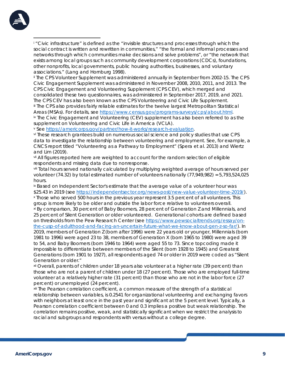<span id="page-10-0"></span>

i "Civic infrastructure" is defined as the "invisible structures and processes through which the social contract is written and rewritten in communities," "the formal and informal processes and networks through which communities make decisions and solve problems", or "the network that exists among local groups such as community development corporations (CDCs), foundations, other nonprofits, local governments, public housing authorities, businesses, and voluntary associations." (Lang and Hornburg 1998).<br>ii The CPS Volunteer Supplement was administered annually in September from 2002-15. The CPS

<span id="page-10-1"></span>Civic Engagement Supplement was administered in November 2008, 2010, 2011, and 2013. The CPS Civic Engagement and Volunteering Supplement (CPS CEV), which merged and consolidated these two questionnaires, was administered in September 2017, 2019, and 2021.

<span id="page-10-2"></span>The CPS CEV has also been known as the CPS Volunteering and Civic Life Supplement. iii The CPS also provides fairly reliable estimates for the twelve largest Metropolitan Statistical Areas (MSAs). For details, see [https://www.census.gov/programs-surveys/cps/about.html.](https://www.census.gov/programs-surveys/cps/about.html)<br>iv The Civic Engagement and Volunteering (CEV) supplement has also been referred to as the

<span id="page-10-3"></span>supplement on Volunteering and Civic Life in America (VCLA).

<span id="page-10-4"></span>v See [https://americorps.gov/partner/how-it-works/research-evaluation.](https://americorps.gov/partner/how-it-works/research-evaluation)<br>vi These research grantees build on numerous social science and policy studies that use CPS

<span id="page-10-5"></span>data to investigate the relationship between volunteering and employment. See, for example, a CNCS report titled "Volunteering as a Pathway to Employment" (Spera et al. 2013) and Wiertz and Lim (2019).

<span id="page-10-6"></span>vii All figures reported here are weighted to account for the random selection of eligible

<span id="page-10-7"></span>respondents and missing data due to nonresponse.<br>iii Total hours served nationally calculated by multiplying weighted average of hours served per volunteer (74.32) by total estimated number of volunteers nationally (77,949,982) = 5,793,524,025 hours.

<span id="page-10-10"></span><span id="page-10-9"></span><span id="page-10-8"></span>ix Based on Independent Sector's estimate that the average value of a volunteer hour was \$25.43 in 2019 (see [https://independentsector.org/news-post/new-value-volunteer-time-2019/\)](https://independentsector.org/news-post/new-value-volunteer-time-2019/). x Those who served 500 hours in the previous year represent 3.5 percent of all volunteers. This group is more likely to be older and outside the labor force relative to volunteers overall. xi By comparison, 30 percent of Baby Boomers, 28 percent of Generation Z and Millennials, and 25 percent of Silent Generation or older volunteered. Generational cohorts are defined based on thresholds from the Pew Research Center (see [https://www.pewsocialtrends.org/essay/on](https://www.pewsocialtrends.org/essay/on-the-cusp-of-adulthood-and-facing-an-uncertain-future-what-we-know-about-gen-z-so-far/)[the-cusp-of-adulthood-and-facing-an-uncertain-future-what-we-know-about-gen-z-so-far/\)](https://www.pewsocialtrends.org/essay/on-the-cusp-of-adulthood-and-facing-an-uncertain-future-what-we-know-about-gen-z-so-far/). In 2019, members of Generation Z (born after 1996) were 22 years old or younger, Millennials (born 1981 to 1996) were aged 23 to 38, members of Generation X (born 1965 to 1980) were aged 39 to 54, and Baby Boomers (born 1946 to 1964) were aged 55 to 73. Since topcoding made it impossible to differentiate between members of the Silent (born 1928 to 1945) and Greatest Generations (born 1901 to 1927), all respondents aged 74 or older in 2019 were coded as "Silent Generation or older."

<span id="page-10-11"></span>xii Overall, parents of children under 18 years also volunteer at a higher rate (39 percent) than those who are not a parent of children under 18 (27 percent). Those who are employed full-time volunteer at a relatively higher rate (31 percent) than those who are not in the labor force (27 percent) or unemployed (24 percent).

<span id="page-10-12"></span>xiii The Pearson correlation coefficient, a common measure of the strength of a statistical relationship between variables, is 0.2541 for organizational volunteering and exchanging favors with neighbors at least once in the past year and significant at the 5 percent level. Typically, a Pearson correlation coefficient between 0 and 0.3 implies a positive but weak relationship. The correlation remains positive, weak, and statistically significant when we restrict the analysis to racial and subgroups and respondents with versus without a college degree.